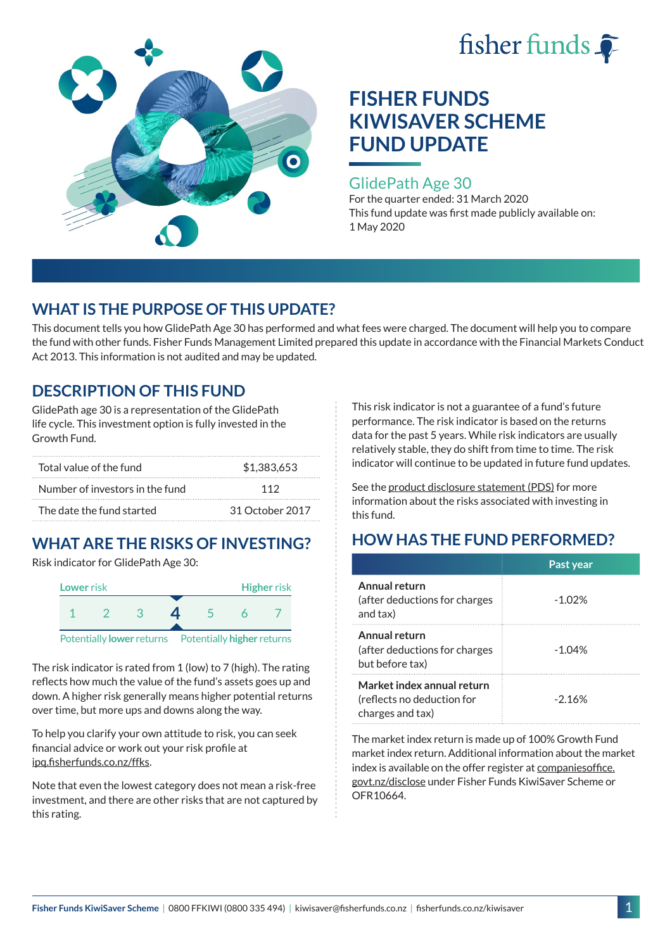



### GlidePath Age 30

For the quarter ended: 31 March 2020 This fund update was first made publicly available on: 1 May 2020

# **WHAT IS THE PURPOSE OF THIS UPDATE?**

This document tells you how GlidePath Age 30 has performed and what fees were charged. The document will help you to compare the fund with other funds. Fisher Funds Management Limited prepared this update in accordance with the Financial Markets Conduct Act 2013. This information is not audited and may be updated.

# **DESCRIPTION OF THIS FUND**

GlidePath age 30 is a representation of the GlidePath life cycle. This investment option is fully invested in the Growth Fund.

| Total value of the fund         | \$1,383,653     |  |
|---------------------------------|-----------------|--|
| Number of investors in the fund | 112             |  |
| The date the fund started       | 31 October 2017 |  |

# **WHAT ARE THE RISKS OF INVESTING?**

Risk indicator for GlidePath Age 30:



The risk indicator is rated from 1 (low) to 7 (high). The rating reflects how much the value of the fund's assets goes up and down. A higher risk generally means higher potential returns over time, but more ups and downs along the way.

To help you clarify your own attitude to risk, you can seek financial advice or work out your risk profile at [ipq.fisherfunds.co.nz/ffks](https://ipq.fisherfunds.co.nz/ffks).

Note that even the lowest category does not mean a risk-free investment, and there are other risks that are not captured by this rating.

This risk indicator is not a guarantee of a fund's future performance. The risk indicator is based on the returns data for the past 5 years. While risk indicators are usually relatively stable, they do shift from time to time. The risk indicator will continue to be updated in future fund updates.

See the [product disclosure statement \(PDS\)](https://fisherfunds.co.nz/assets/PDS/Fisher-Funds-KiwiSaver-Scheme-PDS.pdf) for more information about the risks associated with investing in this fund.

# **HOW HAS THE FUND PERFORMED?**

|                                                                              | Past year |
|------------------------------------------------------------------------------|-----------|
| Annual return<br>(after deductions for charges<br>and tax)                   | $-1.02%$  |
| Annual return<br>(after deductions for charges<br>but before tax)            | $-1.04%$  |
| Market index annual return<br>(reflects no deduction for<br>charges and tax) | $-2.16%$  |

The market index return is made up of 100% Growth Fund market index return. Additional information about the market index is available on the offer register at [companiesoffice.](http://companiesoffice.govt.nz/disclose) [govt.nz/disclose](http://companiesoffice.govt.nz/disclose) under Fisher Funds KiwiSaver Scheme or OFR10664.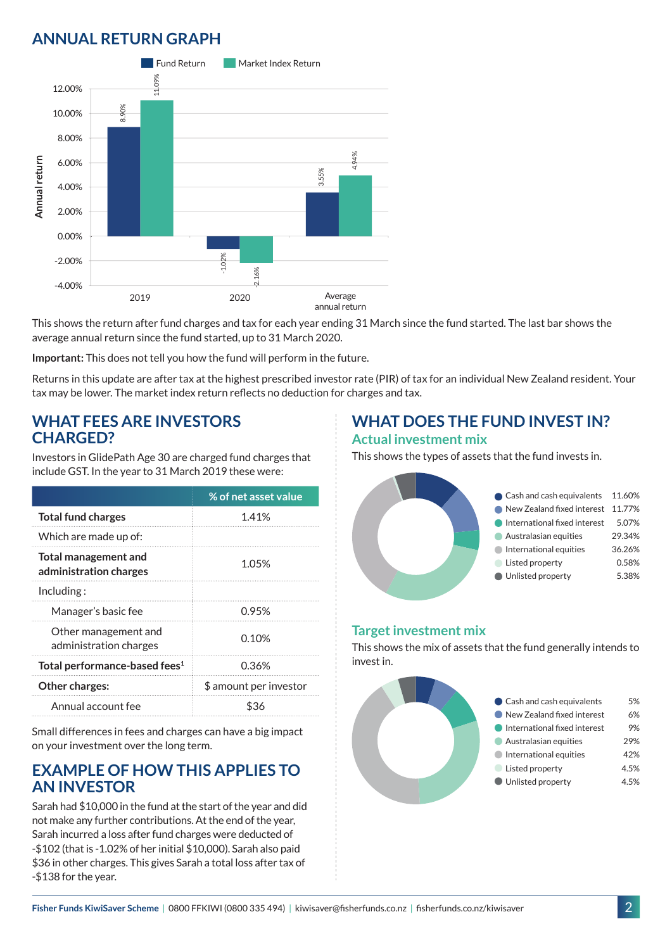# **ANNUAL RETURN GRAPH**



This shows the return after fund charges and tax for each year ending 31 March since the fund started. The last bar shows the average annual return since the fund started, up to 31 March 2020.

**Important:** This does not tell you how the fund will perform in the future.

Returns in this update are after tax at the highest prescribed investor rate (PIR) of tax for an individual New Zealand resident. Your tax may be lower. The market index return reflects no deduction for charges and tax.

#### **WHAT FEES ARE INVESTORS CHARGED?**

Investors in GlidePath Age 30 are charged fund charges that include GST. In the year to 31 March 2019 these were:

|                                                | % of net asset value   |
|------------------------------------------------|------------------------|
| <b>Total fund charges</b>                      | 1.41%                  |
| Which are made up of:                          |                        |
| Total management and<br>administration charges | 1.05%                  |
| Inding:                                        |                        |
| Manager's basic fee                            | በ 95%                  |
| Other management and<br>administration charges | 0.10%                  |
| Total performance-based fees <sup>1</sup>      | 0.36%                  |
| Other charges:                                 | \$ amount per investor |
| Annual account fee                             |                        |

Small differences in fees and charges can have a big impact on your investment over the long term.

### **EXAMPLE OF HOW THIS APPLIES TO AN INVESTOR**

Sarah had \$10,000 in the fund at the start of the year and did not make any further contributions. At the end of the year, Sarah incurred a loss after fund charges were deducted of -\$102 (that is -1.02% of her initial \$10,000). Sarah also paid \$36 in other charges. This gives Sarah a total loss after tax of -\$138 for the year.

### **WHAT DOES THE FUND INVEST IN? Actual investment mix**

This shows the types of assets that the fund invests in.



#### **Target investment mix**

This shows the mix of assets that the fund generally intends to invest in.